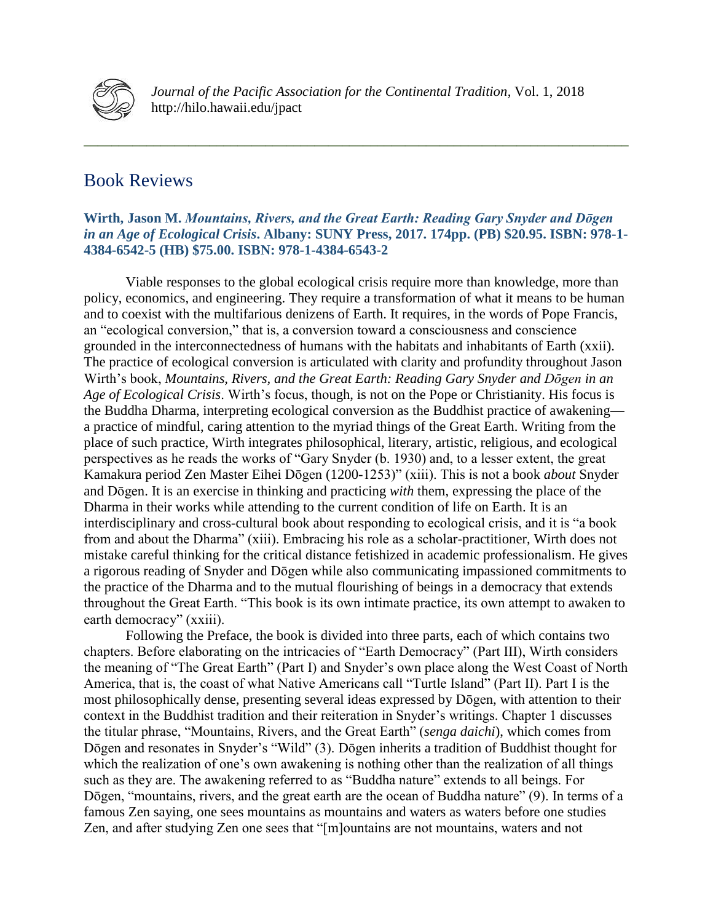

*Journal of the Pacific Association for the Continental Tradition*, Vol. 1, 2018 http://hilo.hawaii.edu/jpact

# Book Reviews

## **Wirth, Jason M.** *Mountains, Rivers, and the Great Earth: Reading Gary Snyder and Dōgen in an Age of Ecological Crisis***. Albany: SUNY Press, 2017. 174pp. (PB) \$20.95. ISBN: 978-1- 4384-6542-5 (HB) \$75.00. ISBN: 978-1-4384-6543-2**

**\_\_\_\_\_\_\_\_\_\_\_\_\_\_\_\_\_\_\_\_\_\_\_\_\_\_\_\_\_\_\_\_\_\_\_\_\_\_\_\_\_\_\_\_\_\_\_\_\_\_\_\_\_\_\_\_\_\_\_\_\_\_\_\_\_\_\_\_\_\_\_\_\_\_\_\_\_\_**

Viable responses to the global ecological crisis require more than knowledge, more than policy, economics, and engineering. They require a transformation of what it means to be human and to coexist with the multifarious denizens of Earth. It requires, in the words of Pope Francis, an "ecological conversion," that is, a conversion toward a consciousness and conscience grounded in the interconnectedness of humans with the habitats and inhabitants of Earth (xxii). The practice of ecological conversion is articulated with clarity and profundity throughout Jason Wirth's book, *Mountains, Rivers, and the Great Earth: Reading Gary Snyder and Dōgen in an Age of Ecological Crisis*. Wirth's focus, though, is not on the Pope or Christianity. His focus is the Buddha Dharma, interpreting ecological conversion as the Buddhist practice of awakening a practice of mindful, caring attention to the myriad things of the Great Earth. Writing from the place of such practice, Wirth integrates philosophical, literary, artistic, religious, and ecological perspectives as he reads the works of "Gary Snyder (b. 1930) and, to a lesser extent, the great Kamakura period Zen Master Eihei Dōgen (1200-1253)" (xiii). This is not a book *about* Snyder and Dōgen. It is an exercise in thinking and practicing *with* them, expressing the place of the Dharma in their works while attending to the current condition of life on Earth. It is an interdisciplinary and cross-cultural book about responding to ecological crisis, and it is "a book from and about the Dharma" (xiii). Embracing his role as a scholar-practitioner, Wirth does not mistake careful thinking for the critical distance fetishized in academic professionalism. He gives a rigorous reading of Snyder and Dōgen while also communicating impassioned commitments to the practice of the Dharma and to the mutual flourishing of beings in a democracy that extends throughout the Great Earth. "This book is its own intimate practice, its own attempt to awaken to earth democracy" (xxiii).

Following the Preface, the book is divided into three parts, each of which contains two chapters. Before elaborating on the intricacies of "Earth Democracy" (Part III), Wirth considers the meaning of "The Great Earth" (Part I) and Snyder's own place along the West Coast of North America, that is, the coast of what Native Americans call "Turtle Island" (Part II). Part I is the most philosophically dense, presenting several ideas expressed by Dōgen, with attention to their context in the Buddhist tradition and their reiteration in Snyder's writings. Chapter 1 discusses the titular phrase, "Mountains, Rivers, and the Great Earth" (*senga daichi*), which comes from Dōgen and resonates in Snyder's "Wild" (3). Dōgen inherits a tradition of Buddhist thought for which the realization of one's own awakening is nothing other than the realization of all things such as they are. The awakening referred to as "Buddha nature" extends to all beings. For Dōgen, "mountains, rivers, and the great earth are the ocean of Buddha nature" (9). In terms of a famous Zen saying, one sees mountains as mountains and waters as waters before one studies Zen, and after studying Zen one sees that "[m]ountains are not mountains, waters and not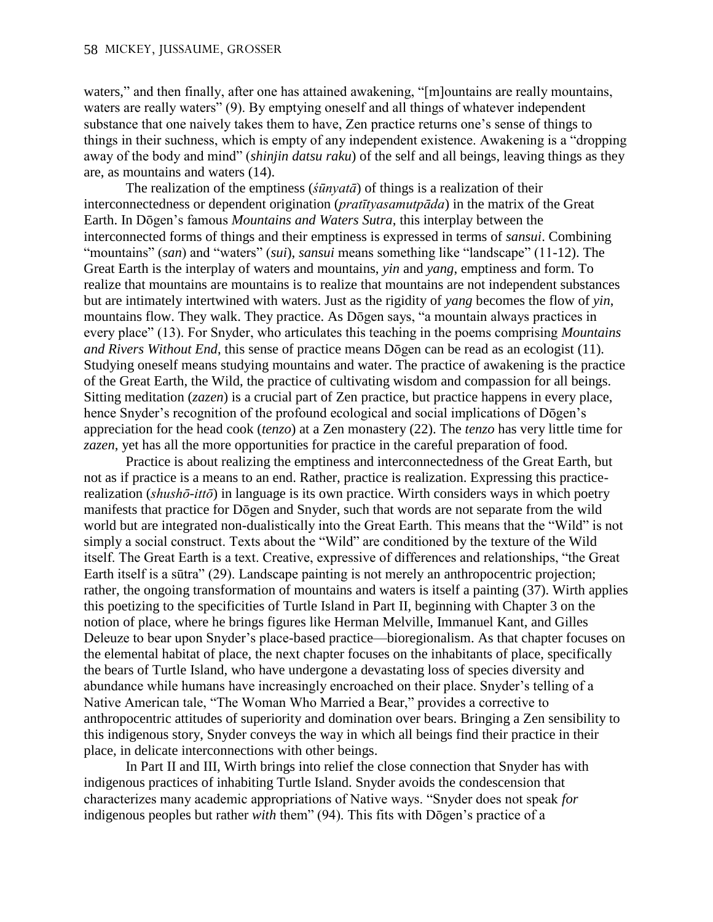waters," and then finally, after one has attained awakening, "[m]ountains are really mountains, waters are really waters" (9). By emptying oneself and all things of whatever independent substance that one naively takes them to have, Zen practice returns one's sense of things to things in their suchness, which is empty of any independent existence. Awakening is a "dropping away of the body and mind" (*shinjin datsu raku*) of the self and all beings, leaving things as they are, as mountains and waters (14).

The realization of the emptiness (*śūnyatā*) of things is a realization of their interconnectedness or dependent origination (*pratītyasamutpāda*) in the matrix of the Great Earth. In Dōgen's famous *Mountains and Waters Sutra*, this interplay between the interconnected forms of things and their emptiness is expressed in terms of *sansui*. Combining "mountains" (*san*) and "waters" (*sui*), *sansui* means something like "landscape" (11-12). The Great Earth is the interplay of waters and mountains, *yin* and *yang*, emptiness and form. To realize that mountains are mountains is to realize that mountains are not independent substances but are intimately intertwined with waters. Just as the rigidity of *yang* becomes the flow of *yin*, mountains flow. They walk. They practice. As Dōgen says, "a mountain always practices in every place" (13). For Snyder, who articulates this teaching in the poems comprising *Mountains and Rivers Without End*, this sense of practice means Dōgen can be read as an ecologist (11). Studying oneself means studying mountains and water. The practice of awakening is the practice of the Great Earth, the Wild, the practice of cultivating wisdom and compassion for all beings. Sitting meditation (*zazen*) is a crucial part of Zen practice, but practice happens in every place, hence Snyder's recognition of the profound ecological and social implications of Dōgen's appreciation for the head cook (*tenzo*) at a Zen monastery (22). The *tenzo* has very little time for *zazen*, yet has all the more opportunities for practice in the careful preparation of food.

Practice is about realizing the emptiness and interconnectedness of the Great Earth, but not as if practice is a means to an end. Rather, practice is realization. Expressing this practicerealization (*shushō-ittō*) in language is its own practice. Wirth considers ways in which poetry manifests that practice for Dōgen and Snyder, such that words are not separate from the wild world but are integrated non-dualistically into the Great Earth. This means that the "Wild" is not simply a social construct. Texts about the "Wild" are conditioned by the texture of the Wild itself. The Great Earth is a text. Creative, expressive of differences and relationships, "the Great Earth itself is a sūtra" (29). Landscape painting is not merely an anthropocentric projection; rather, the ongoing transformation of mountains and waters is itself a painting (37). Wirth applies this poetizing to the specificities of Turtle Island in Part II, beginning with Chapter 3 on the notion of place, where he brings figures like Herman Melville, Immanuel Kant, and Gilles Deleuze to bear upon Snyder's place-based practice—bioregionalism. As that chapter focuses on the elemental habitat of place, the next chapter focuses on the inhabitants of place, specifically the bears of Turtle Island, who have undergone a devastating loss of species diversity and abundance while humans have increasingly encroached on their place. Snyder's telling of a Native American tale, "The Woman Who Married a Bear," provides a corrective to anthropocentric attitudes of superiority and domination over bears. Bringing a Zen sensibility to this indigenous story, Snyder conveys the way in which all beings find their practice in their place, in delicate interconnections with other beings.

In Part II and III, Wirth brings into relief the close connection that Snyder has with indigenous practices of inhabiting Turtle Island. Snyder avoids the condescension that characterizes many academic appropriations of Native ways. "Snyder does not speak *for* indigenous peoples but rather *with* them" (94). This fits with Dōgen's practice of a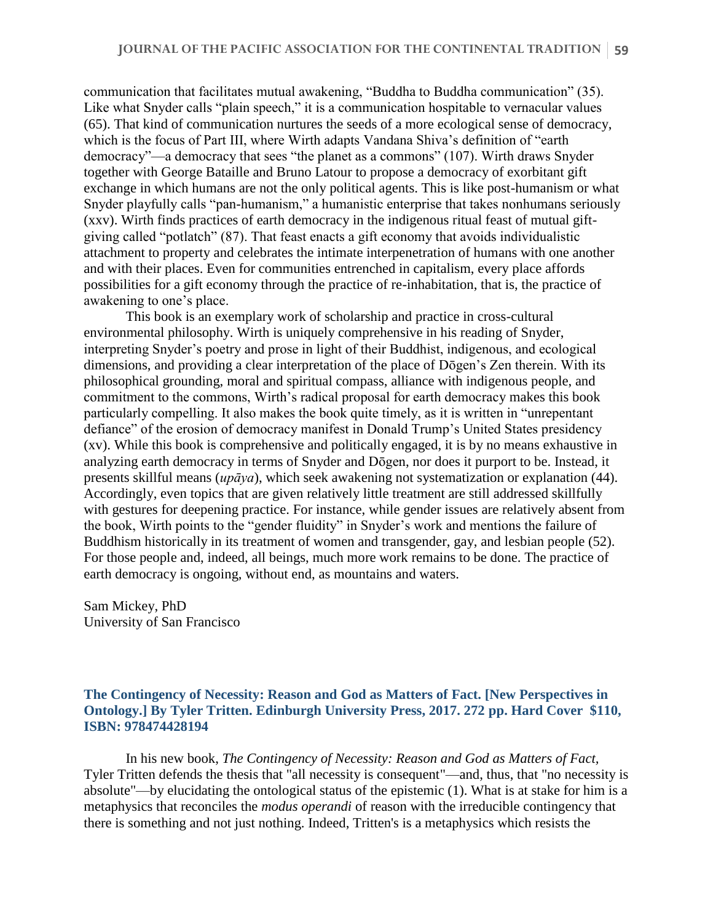communication that facilitates mutual awakening, "Buddha to Buddha communication" (35). Like what Snyder calls "plain speech," it is a communication hospitable to vernacular values (65). That kind of communication nurtures the seeds of a more ecological sense of democracy, which is the focus of Part III, where Wirth adapts Vandana Shiva's definition of "earth democracy"—a democracy that sees "the planet as a commons" (107). Wirth draws Snyder together with George Bataille and Bruno Latour to propose a democracy of exorbitant gift exchange in which humans are not the only political agents. This is like post-humanism or what Snyder playfully calls "pan-humanism," a humanistic enterprise that takes nonhumans seriously (xxv). Wirth finds practices of earth democracy in the indigenous ritual feast of mutual giftgiving called "potlatch" (87). That feast enacts a gift economy that avoids individualistic attachment to property and celebrates the intimate interpenetration of humans with one another and with their places. Even for communities entrenched in capitalism, every place affords possibilities for a gift economy through the practice of re-inhabitation, that is, the practice of awakening to one's place.

This book is an exemplary work of scholarship and practice in cross-cultural environmental philosophy. Wirth is uniquely comprehensive in his reading of Snyder, interpreting Snyder's poetry and prose in light of their Buddhist, indigenous, and ecological dimensions, and providing a clear interpretation of the place of Dōgen's Zen therein. With its philosophical grounding, moral and spiritual compass, alliance with indigenous people, and commitment to the commons, Wirth's radical proposal for earth democracy makes this book particularly compelling. It also makes the book quite timely, as it is written in "unrepentant defiance" of the erosion of democracy manifest in Donald Trump's United States presidency (xv). While this book is comprehensive and politically engaged, it is by no means exhaustive in analyzing earth democracy in terms of Snyder and Dōgen, nor does it purport to be. Instead, it presents skillful means (*upāya*), which seek awakening not systematization or explanation (44). Accordingly, even topics that are given relatively little treatment are still addressed skillfully with gestures for deepening practice. For instance, while gender issues are relatively absent from the book, Wirth points to the "gender fluidity" in Snyder's work and mentions the failure of Buddhism historically in its treatment of women and transgender, gay, and lesbian people (52). For those people and, indeed, all beings, much more work remains to be done. The practice of earth democracy is ongoing, without end, as mountains and waters.

Sam Mickey, PhD University of San Francisco

## **The Contingency of Necessity: Reason and God as Matters of Fact. [New Perspectives in Ontology.] By Tyler Tritten. Edinburgh University Press, 2017. 272 pp. Hard Cover \$110, ISBN: 978474428194**

In his new book, *The Contingency of Necessity: Reason and God as Matters of Fact,*  Tyler Tritten defends the thesis that "all necessity is consequent"—and, thus, that "no necessity is absolute"—by elucidating the ontological status of the epistemic (1). What is at stake for him is a metaphysics that reconciles the *modus operandi* of reason with the irreducible contingency that there is something and not just nothing. Indeed, Tritten's is a metaphysics which resists the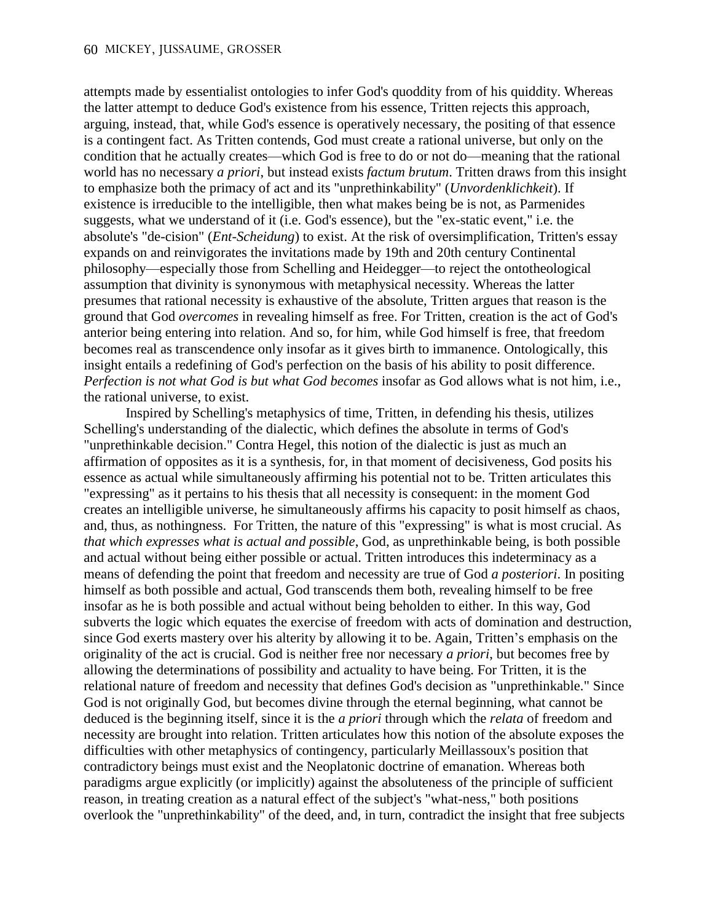attempts made by essentialist ontologies to infer God's quoddity from of his quiddity. Whereas the latter attempt to deduce God's existence from his essence, Tritten rejects this approach, arguing, instead, that, while God's essence is operatively necessary, the positing of that essence is a contingent fact. As Tritten contends, God must create a rational universe, but only on the condition that he actually creates—which God is free to do or not do—meaning that the rational world has no necessary *a priori*, but instead exists *factum brutum*. Tritten draws from this insight to emphasize both the primacy of act and its "unprethinkability" (*Unvordenklichkeit*). If existence is irreducible to the intelligible, then what makes being be is not, as Parmenides suggests, what we understand of it (i.e. God's essence), but the "ex-static event," i.e. the absolute's "de-cision" (*Ent-Scheidung*) to exist. At the risk of oversimplification, Tritten's essay expands on and reinvigorates the invitations made by 19th and 20th century Continental philosophy—especially those from Schelling and Heidegger—to reject the ontotheological assumption that divinity is synonymous with metaphysical necessity. Whereas the latter presumes that rational necessity is exhaustive of the absolute, Tritten argues that reason is the ground that God *overcomes* in revealing himself as free. For Tritten, creation is the act of God's anterior being entering into relation. And so, for him, while God himself is free, that freedom becomes real as transcendence only insofar as it gives birth to immanence. Ontologically, this insight entails a redefining of God's perfection on the basis of his ability to posit difference. *Perfection is not what God is but what God becomes* insofar as God allows what is not him, i.e., the rational universe, to exist.

Inspired by Schelling's metaphysics of time, Tritten, in defending his thesis, utilizes Schelling's understanding of the dialectic, which defines the absolute in terms of God's "unprethinkable decision." Contra Hegel, this notion of the dialectic is just as much an affirmation of opposites as it is a synthesis, for, in that moment of decisiveness, God posits his essence as actual while simultaneously affirming his potential not to be. Tritten articulates this "expressing" as it pertains to his thesis that all necessity is consequent: in the moment God creates an intelligible universe, he simultaneously affirms his capacity to posit himself as chaos, and, thus, as nothingness. For Tritten, the nature of this "expressing" is what is most crucial. As *that which expresses what is actual and possible*, God, as unprethinkable being, is both possible and actual without being either possible or actual. Tritten introduces this indeterminacy as a means of defending the point that freedom and necessity are true of God *a posteriori*. In positing himself as both possible and actual, God transcends them both, revealing himself to be free insofar as he is both possible and actual without being beholden to either. In this way, God subverts the logic which equates the exercise of freedom with acts of domination and destruction, since God exerts mastery over his alterity by allowing it to be. Again, Tritten's emphasis on the originality of the act is crucial. God is neither free nor necessary *a priori*, but becomes free by allowing the determinations of possibility and actuality to have being. For Tritten, it is the relational nature of freedom and necessity that defines God's decision as "unprethinkable." Since God is not originally God, but becomes divine through the eternal beginning, what cannot be deduced is the beginning itself, since it is the *a priori* through which the *relata* of freedom and necessity are brought into relation. Tritten articulates how this notion of the absolute exposes the difficulties with other metaphysics of contingency, particularly Meillassoux's position that contradictory beings must exist and the Neoplatonic doctrine of emanation. Whereas both paradigms argue explicitly (or implicitly) against the absoluteness of the principle of sufficient reason, in treating creation as a natural effect of the subject's "what-ness," both positions overlook the "unprethinkability" of the deed, and, in turn, contradict the insight that free subjects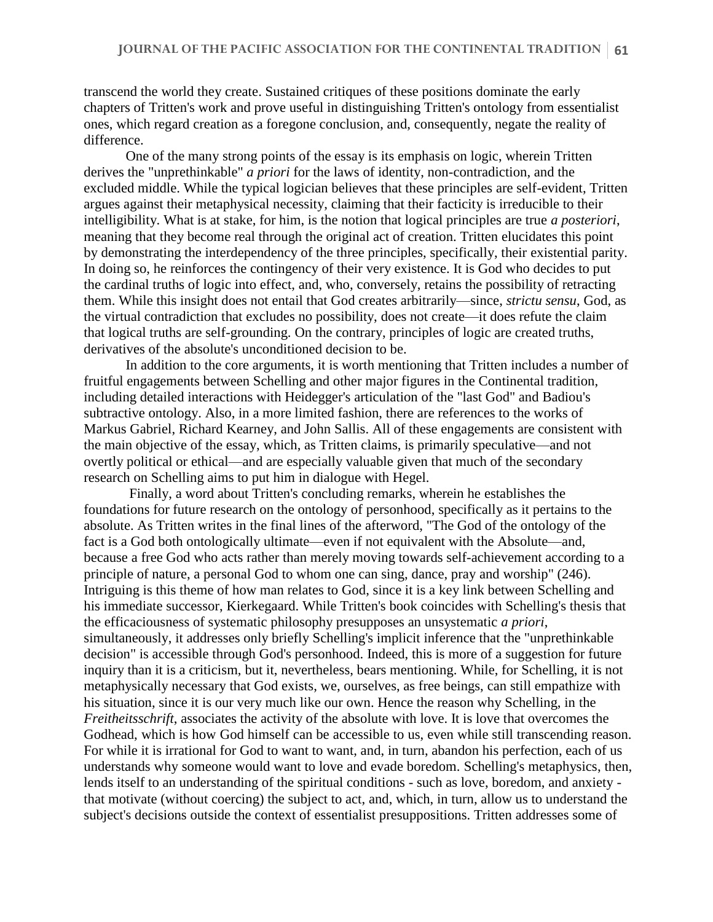transcend the world they create. Sustained critiques of these positions dominate the early chapters of Tritten's work and prove useful in distinguishing Tritten's ontology from essentialist ones, which regard creation as a foregone conclusion, and, consequently, negate the reality of difference.

One of the many strong points of the essay is its emphasis on logic, wherein Tritten derives the "unprethinkable" *a priori* for the laws of identity, non-contradiction, and the excluded middle. While the typical logician believes that these principles are self-evident, Tritten argues against their metaphysical necessity, claiming that their facticity is irreducible to their intelligibility. What is at stake, for him, is the notion that logical principles are true *a posteriori*, meaning that they become real through the original act of creation. Tritten elucidates this point by demonstrating the interdependency of the three principles, specifically, their existential parity. In doing so, he reinforces the contingency of their very existence. It is God who decides to put the cardinal truths of logic into effect, and, who, conversely, retains the possibility of retracting them. While this insight does not entail that God creates arbitrarily—since, *strictu sensu*, God, as the virtual contradiction that excludes no possibility, does not create—it does refute the claim that logical truths are self-grounding. On the contrary, principles of logic are created truths, derivatives of the absolute's unconditioned decision to be.

In addition to the core arguments, it is worth mentioning that Tritten includes a number of fruitful engagements between Schelling and other major figures in the Continental tradition, including detailed interactions with Heidegger's articulation of the "last God" and Badiou's subtractive ontology. Also, in a more limited fashion, there are references to the works of Markus Gabriel, Richard Kearney, and John Sallis. All of these engagements are consistent with the main objective of the essay, which, as Tritten claims, is primarily speculative—and not overtly political or ethical—and are especially valuable given that much of the secondary research on Schelling aims to put him in dialogue with Hegel.

Finally, a word about Tritten's concluding remarks, wherein he establishes the foundations for future research on the ontology of personhood, specifically as it pertains to the absolute. As Tritten writes in the final lines of the afterword, "The God of the ontology of the fact is a God both ontologically ultimate—even if not equivalent with the Absolute—and, because a free God who acts rather than merely moving towards self-achievement according to a principle of nature, a personal God to whom one can sing, dance, pray and worship" (246). Intriguing is this theme of how man relates to God, since it is a key link between Schelling and his immediate successor, Kierkegaard. While Tritten's book coincides with Schelling's thesis that the efficaciousness of systematic philosophy presupposes an unsystematic *a priori*, simultaneously, it addresses only briefly Schelling's implicit inference that the "unprethinkable decision" is accessible through God's personhood. Indeed, this is more of a suggestion for future inquiry than it is a criticism, but it, nevertheless, bears mentioning. While, for Schelling, it is not metaphysically necessary that God exists, we, ourselves, as free beings, can still empathize with his situation, since it is our very much like our own. Hence the reason why Schelling, in the *Freitheitsschrift*, associates the activity of the absolute with love. It is love that overcomes the Godhead, which is how God himself can be accessible to us, even while still transcending reason. For while it is irrational for God to want to want, and, in turn, abandon his perfection, each of us understands why someone would want to love and evade boredom. Schelling's metaphysics, then, lends itself to an understanding of the spiritual conditions - such as love, boredom, and anxiety that motivate (without coercing) the subject to act, and, which, in turn, allow us to understand the subject's decisions outside the context of essentialist presuppositions. Tritten addresses some of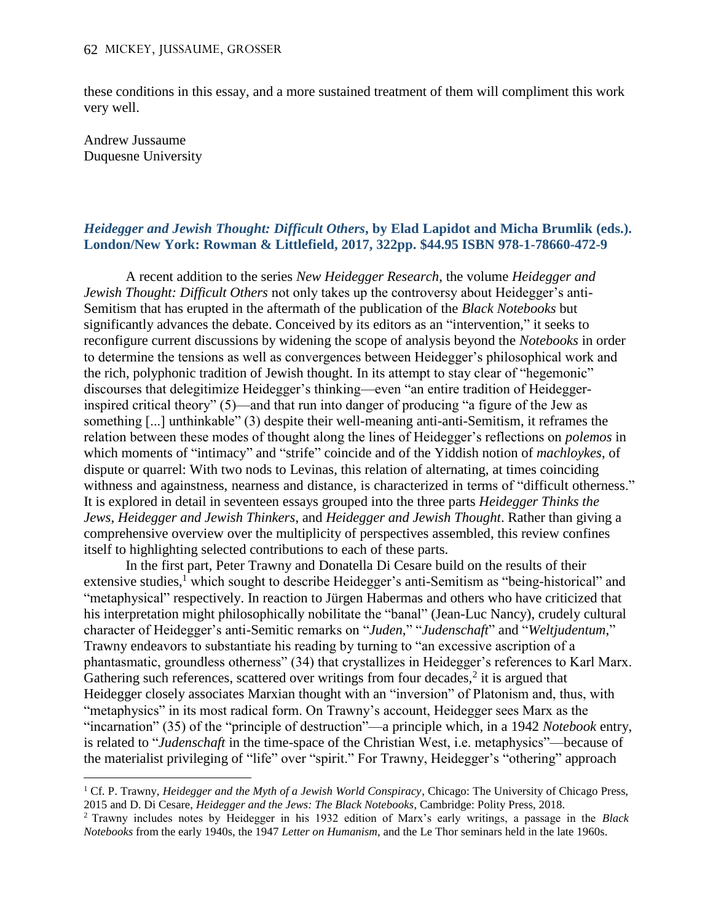these conditions in this essay, and a more sustained treatment of them will compliment this work very well.

Andrew Jussaume Duquesne University

 $\overline{a}$ 

### *Heidegger and Jewish Thought: Difficult Others***, by Elad Lapidot and Micha Brumlik (eds.). London/New York: Rowman & Littlefield, 2017, 322pp. \$44.95 ISBN 978-1-78660-472-9**

A recent addition to the series *New Heidegger Research*, the volume *Heidegger and Jewish Thought: Difficult Others* not only takes up the controversy about Heidegger's anti-Semitism that has erupted in the aftermath of the publication of the *Black Notebooks* but significantly advances the debate. Conceived by its editors as an "intervention," it seeks to reconfigure current discussions by widening the scope of analysis beyond the *Notebooks* in order to determine the tensions as well as convergences between Heidegger's philosophical work and the rich, polyphonic tradition of Jewish thought. In its attempt to stay clear of "hegemonic" discourses that delegitimize Heidegger's thinking—even "an entire tradition of Heideggerinspired critical theory" (5)—and that run into danger of producing "a figure of the Jew as something [...] unthinkable" (3) despite their well-meaning anti-anti-Semitism, it reframes the relation between these modes of thought along the lines of Heidegger's reflections on *polemos* in which moments of "intimacy" and "strife" coincide and of the Yiddish notion of *machloykes*, of dispute or quarrel: With two nods to Levinas, this relation of alternating, at times coinciding withness and againstness, nearness and distance, is characterized in terms of "difficult otherness." It is explored in detail in seventeen essays grouped into the three parts *Heidegger Thinks the Jews*, *Heidegger and Jewish Thinkers*, and *Heidegger and Jewish Thought*. Rather than giving a comprehensive overview over the multiplicity of perspectives assembled, this review confines itself to highlighting selected contributions to each of these parts.

In the first part, Peter Trawny and Donatella Di Cesare build on the results of their extensive studies,<sup>1</sup> which sought to describe Heidegger's anti-Semitism as "being-historical" and "metaphysical" respectively. In reaction to Jürgen Habermas and others who have criticized that his interpretation might philosophically nobilitate the "banal" (Jean-Luc Nancy), crudely cultural character of Heidegger's anti-Semitic remarks on "*Juden*," "*Judenschaft*" and "*Weltjudentum*," Trawny endeavors to substantiate his reading by turning to "an excessive ascription of a phantasmatic, groundless otherness" (34) that crystallizes in Heidegger's references to Karl Marx. Gathering such references, scattered over writings from four decades, $2$  it is argued that Heidegger closely associates Marxian thought with an "inversion" of Platonism and, thus, with "metaphysics" in its most radical form. On Trawny's account, Heidegger sees Marx as the "incarnation" (35) of the "principle of destruction"—a principle which, in a 1942 *Notebook* entry, is related to "*Judenschaft* in the time-space of the Christian West, i.e. metaphysics"—because of the materialist privileging of "life" over "spirit." For Trawny, Heidegger's "othering" approach

<sup>1</sup> Cf. P. Trawny, *Heidegger and the Myth of a Jewish World Conspiracy*, Chicago: The University of Chicago Press, 2015 and D. Di Cesare, *Heidegger and the Jews: The Black Notebooks*, Cambridge: Polity Press, 2018.

<sup>2</sup> Trawny includes notes by Heidegger in his 1932 edition of Marx's early writings, a passage in the *Black Notebooks* from the early 1940s, the 1947 *Letter on Humanism*, and the Le Thor seminars held in the late 1960s.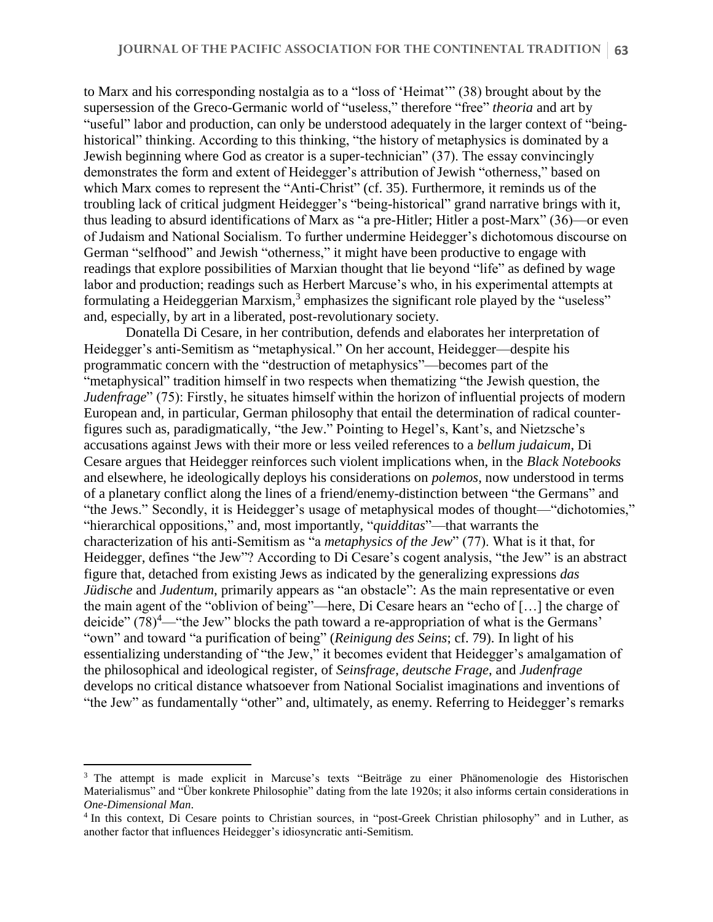to Marx and his corresponding nostalgia as to a "loss of 'Heimat'" (38) brought about by the supersession of the Greco-Germanic world of "useless," therefore "free" *theoria* and art by "useful" labor and production, can only be understood adequately in the larger context of "beinghistorical" thinking. According to this thinking, "the history of metaphysics is dominated by a Jewish beginning where God as creator is a super-technician" (37). The essay convincingly demonstrates the form and extent of Heidegger's attribution of Jewish "otherness," based on which Marx comes to represent the "Anti-Christ" (cf. 35). Furthermore, it reminds us of the troubling lack of critical judgment Heidegger's "being-historical" grand narrative brings with it, thus leading to absurd identifications of Marx as "a pre-Hitler; Hitler a post-Marx" (36)—or even of Judaism and National Socialism. To further undermine Heidegger's dichotomous discourse on German "selfhood" and Jewish "otherness," it might have been productive to engage with readings that explore possibilities of Marxian thought that lie beyond "life" as defined by wage labor and production; readings such as Herbert Marcuse's who, in his experimental attempts at formulating a Heideggerian Marxism,<sup>3</sup> emphasizes the significant role played by the "useless" and, especially, by art in a liberated, post-revolutionary society.

Donatella Di Cesare, in her contribution, defends and elaborates her interpretation of Heidegger's anti-Semitism as "metaphysical." On her account, Heidegger—despite his programmatic concern with the "destruction of metaphysics"—becomes part of the "metaphysical" tradition himself in two respects when thematizing "the Jewish question, the *Judenfrage*" (75): Firstly, he situates himself within the horizon of influential projects of modern European and, in particular, German philosophy that entail the determination of radical counterfigures such as, paradigmatically, "the Jew." Pointing to Hegel's, Kant's, and Nietzsche's accusations against Jews with their more or less veiled references to a *bellum judaicum*, Di Cesare argues that Heidegger reinforces such violent implications when, in the *Black Notebooks* and elsewhere, he ideologically deploys his considerations on *polemos*, now understood in terms of a planetary conflict along the lines of a friend/enemy-distinction between "the Germans" and "the Jews." Secondly, it is Heidegger's usage of metaphysical modes of thought—"dichotomies," "hierarchical oppositions," and, most importantly, "*quidditas*"—that warrants the characterization of his anti-Semitism as "a *metaphysics of the Jew*" (77). What is it that, for Heidegger, defines "the Jew"? According to Di Cesare's cogent analysis, "the Jew" is an abstract figure that, detached from existing Jews as indicated by the generalizing expressions *das Jüdische* and *Judentum*, primarily appears as "an obstacle": As the main representative or even the main agent of the "oblivion of being"—here, Di Cesare hears an "echo of […] the charge of deicide"  $(78)^4$ —"the Jew" blocks the path toward a re-appropriation of what is the Germans' "own" and toward "a purification of being" (*Reinigung des Seins*; cf. 79). In light of his essentializing understanding of "the Jew," it becomes evident that Heidegger's amalgamation of the philosophical and ideological register, of *Seinsfrage*, *deutsche Frage*, and *Judenfrage* develops no critical distance whatsoever from National Socialist imaginations and inventions of "the Jew" as fundamentally "other" and, ultimately, as enemy. Referring to Heidegger's remarks

 $\overline{a}$ 

<sup>&</sup>lt;sup>3</sup> The attempt is made explicit in Marcuse's texts "Beiträge zu einer Phänomenologie des Historischen Materialismus" and "Über konkrete Philosophie" dating from the late 1920s; it also informs certain considerations in *One-Dimensional Man*.

<sup>4</sup> In this context, Di Cesare points to Christian sources, in "post-Greek Christian philosophy" and in Luther, as another factor that influences Heidegger's idiosyncratic anti-Semitism.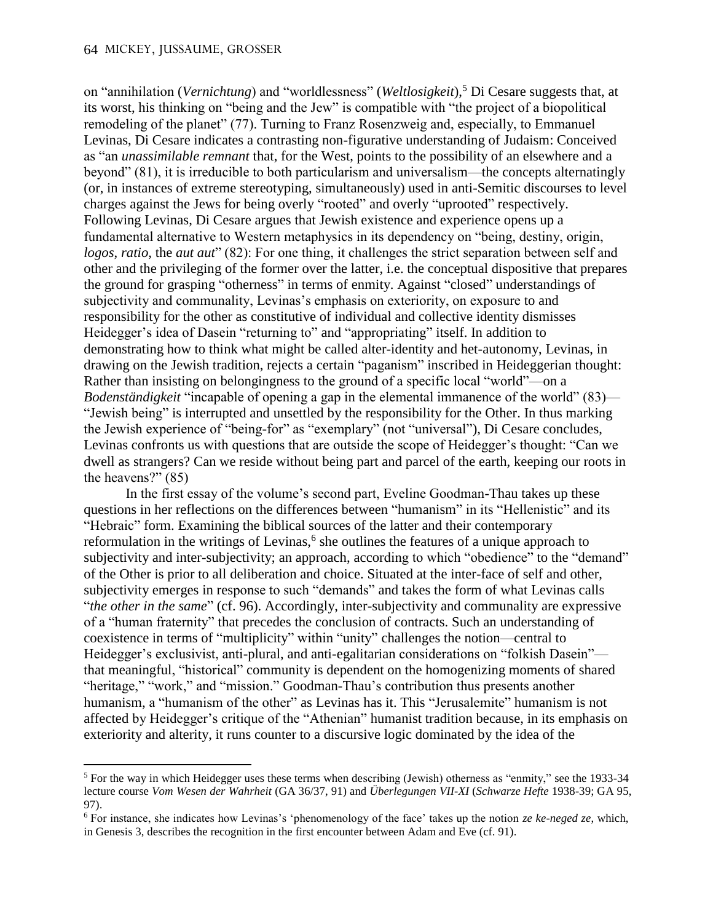#### 64 MICKEY, JUSSAUME, GROSSER

 $\overline{a}$ 

on "annihilation (*Vernichtung*) and "worldlessness" (*Weltlosigkeit*),<sup>5</sup> Di Cesare suggests that, at its worst, his thinking on "being and the Jew" is compatible with "the project of a biopolitical remodeling of the planet" (77). Turning to Franz Rosenzweig and, especially, to Emmanuel Levinas, Di Cesare indicates a contrasting non-figurative understanding of Judaism: Conceived as "an *unassimilable remnant* that, for the West, points to the possibility of an elsewhere and a beyond" (81), it is irreducible to both particularism and universalism—the concepts alternatingly (or, in instances of extreme stereotyping, simultaneously) used in anti-Semitic discourses to level charges against the Jews for being overly "rooted" and overly "uprooted" respectively. Following Levinas, Di Cesare argues that Jewish existence and experience opens up a fundamental alternative to Western metaphysics in its dependency on "being, destiny, origin, *logos, ratio, the aut aut*" (82): For one thing, it challenges the strict separation between self and other and the privileging of the former over the latter, i.e. the conceptual dispositive that prepares the ground for grasping "otherness" in terms of enmity. Against "closed" understandings of subjectivity and communality, Levinas's emphasis on exteriority, on exposure to and responsibility for the other as constitutive of individual and collective identity dismisses Heidegger's idea of Dasein "returning to" and "appropriating" itself. In addition to demonstrating how to think what might be called alter-identity and het-autonomy, Levinas, in drawing on the Jewish tradition, rejects a certain "paganism" inscribed in Heideggerian thought: Rather than insisting on belongingness to the ground of a specific local "world"—on a *Bodenständigkeit* "incapable of opening a gap in the elemental immanence of the world" (83)— "Jewish being" is interrupted and unsettled by the responsibility for the Other. In thus marking the Jewish experience of "being-for" as "exemplary" (not "universal"), Di Cesare concludes, Levinas confronts us with questions that are outside the scope of Heidegger's thought: "Can we dwell as strangers? Can we reside without being part and parcel of the earth, keeping our roots in the heavens?" (85)

In the first essay of the volume's second part, Eveline Goodman-Thau takes up these questions in her reflections on the differences between "humanism" in its "Hellenistic" and its "Hebraic" form. Examining the biblical sources of the latter and their contemporary reformulation in the writings of Levinas,<sup>6</sup> she outlines the features of a unique approach to subjectivity and inter-subjectivity; an approach, according to which "obedience" to the "demand" of the Other is prior to all deliberation and choice. Situated at the inter-face of self and other, subjectivity emerges in response to such "demands" and takes the form of what Levinas calls "*the other in the same*" (cf. 96). Accordingly, inter-subjectivity and communality are expressive of a "human fraternity" that precedes the conclusion of contracts. Such an understanding of coexistence in terms of "multiplicity" within "unity" challenges the notion—central to Heidegger's exclusivist, anti-plural, and anti-egalitarian considerations on "folkish Dasein" that meaningful, "historical" community is dependent on the homogenizing moments of shared "heritage," "work," and "mission." Goodman-Thau's contribution thus presents another humanism, a "humanism of the other" as Levinas has it. This "Jerusalemite" humanism is not affected by Heidegger's critique of the "Athenian" humanist tradition because, in its emphasis on exteriority and alterity, it runs counter to a discursive logic dominated by the idea of the

<sup>&</sup>lt;sup>5</sup> For the way in which Heidegger uses these terms when describing (Jewish) otherness as "enmity," see the 1933-34 lecture course *Vom Wesen der Wahrheit* (GA 36/37, 91) and *Überlegungen VII-XI* (*Schwarze Hefte* 1938-39; GA 95, 97).

<sup>6</sup> For instance, she indicates how Levinas's 'phenomenology of the face' takes up the notion *ze ke-neged ze*, which, in Genesis 3, describes the recognition in the first encounter between Adam and Eve (cf. 91).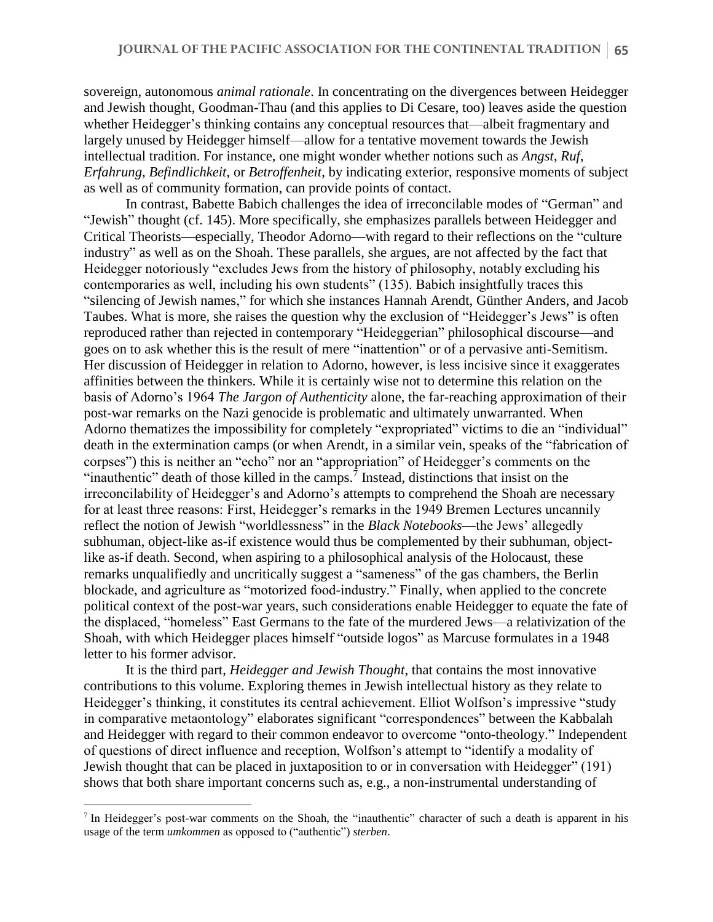sovereign, autonomous *animal rationale*. In concentrating on the divergences between Heidegger and Jewish thought, Goodman-Thau (and this applies to Di Cesare, too) leaves aside the question whether Heidegger's thinking contains any conceptual resources that—albeit fragmentary and largely unused by Heidegger himself—allow for a tentative movement towards the Jewish intellectual tradition. For instance, one might wonder whether notions such as *Angst*, *Ruf*, *Erfahrung*, *Befindlichkeit*, or *Betroffenheit*, by indicating exterior, responsive moments of subject as well as of community formation, can provide points of contact.

In contrast, Babette Babich challenges the idea of irreconcilable modes of "German" and "Jewish" thought (cf. 145). More specifically, she emphasizes parallels between Heidegger and Critical Theorists—especially, Theodor Adorno—with regard to their reflections on the "culture industry" as well as on the Shoah. These parallels, she argues, are not affected by the fact that Heidegger notoriously "excludes Jews from the history of philosophy, notably excluding his contemporaries as well, including his own students" (135). Babich insightfully traces this "silencing of Jewish names," for which she instances Hannah Arendt, Günther Anders, and Jacob Taubes. What is more, she raises the question why the exclusion of "Heidegger's Jews" is often reproduced rather than rejected in contemporary "Heideggerian" philosophical discourse—and goes on to ask whether this is the result of mere "inattention" or of a pervasive anti-Semitism. Her discussion of Heidegger in relation to Adorno, however, is less incisive since it exaggerates affinities between the thinkers. While it is certainly wise not to determine this relation on the basis of Adorno's 1964 *The Jargon of Authenticity* alone, the far-reaching approximation of their post-war remarks on the Nazi genocide is problematic and ultimately unwarranted. When Adorno thematizes the impossibility for completely "expropriated" victims to die an "individual" death in the extermination camps (or when Arendt, in a similar vein, speaks of the "fabrication of corpses") this is neither an "echo" nor an "appropriation" of Heidegger's comments on the "inauthentic" death of those killed in the camps.<sup>7</sup> Instead, distinctions that insist on the irreconcilability of Heidegger's and Adorno's attempts to comprehend the Shoah are necessary for at least three reasons: First, Heidegger's remarks in the 1949 Bremen Lectures uncannily reflect the notion of Jewish "worldlessness" in the *Black Notebooks*—the Jews' allegedly subhuman, object-like as-if existence would thus be complemented by their subhuman, objectlike as-if death. Second, when aspiring to a philosophical analysis of the Holocaust, these remarks unqualifiedly and uncritically suggest a "sameness" of the gas chambers, the Berlin blockade, and agriculture as "motorized food-industry." Finally, when applied to the concrete political context of the post-war years, such considerations enable Heidegger to equate the fate of the displaced, "homeless" East Germans to the fate of the murdered Jews—a relativization of the Shoah, with which Heidegger places himself "outside logos" as Marcuse formulates in a 1948 letter to his former advisor.

It is the third part, *Heidegger and Jewish Thought*, that contains the most innovative contributions to this volume. Exploring themes in Jewish intellectual history as they relate to Heidegger's thinking, it constitutes its central achievement. Elliot Wolfson's impressive "study in comparative metaontology" elaborates significant "correspondences" between the Kabbalah and Heidegger with regard to their common endeavor to overcome "onto-theology." Independent of questions of direct influence and reception, Wolfson's attempt to "identify a modality of Jewish thought that can be placed in juxtaposition to or in conversation with Heidegger" (191) shows that both share important concerns such as, e.g., a non-instrumental understanding of

 $\overline{a}$ 

<sup>&</sup>lt;sup>7</sup> In Heidegger's post-war comments on the Shoah, the "inauthentic" character of such a death is apparent in his usage of the term *umkommen* as opposed to ("authentic") *sterben*.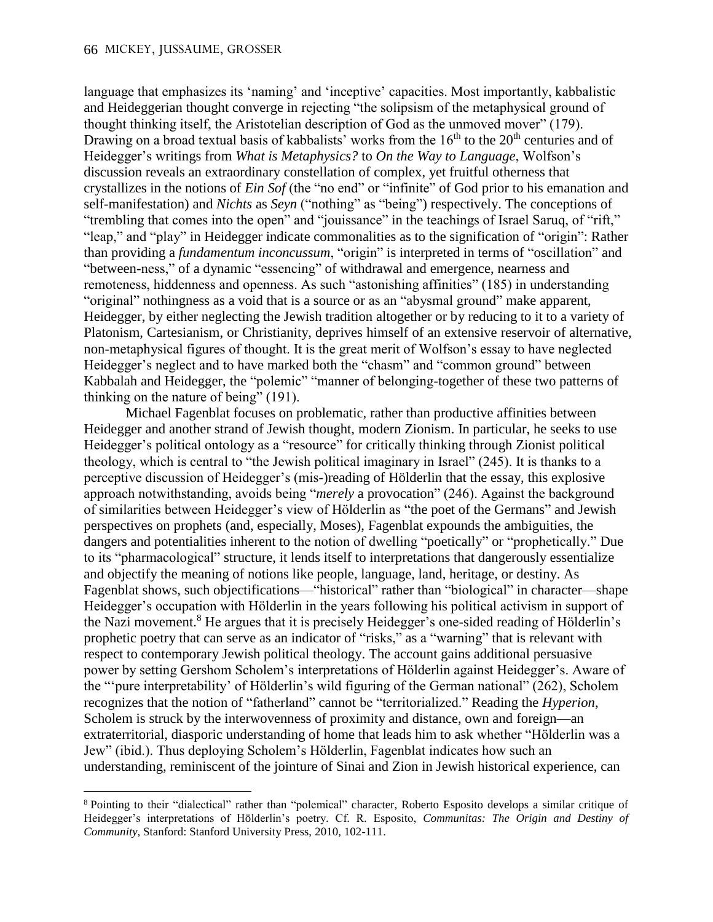$\overline{a}$ 

language that emphasizes its 'naming' and 'inceptive' capacities. Most importantly, kabbalistic and Heideggerian thought converge in rejecting "the solipsism of the metaphysical ground of thought thinking itself, the Aristotelian description of God as the unmoved mover" (179). Drawing on a broad textual basis of kabbalists' works from the  $16<sup>th</sup>$  to the  $20<sup>th</sup>$  centuries and of Heidegger's writings from *What is Metaphysics?* to *On the Way to Language*, Wolfson's discussion reveals an extraordinary constellation of complex, yet fruitful otherness that crystallizes in the notions of *Ein Sof* (the "no end" or "infinite" of God prior to his emanation and self-manifestation) and *Nichts* as *Seyn* ("nothing" as "being") respectively. The conceptions of "trembling that comes into the open" and "jouissance" in the teachings of Israel Saruq, of "rift," "leap," and "play" in Heidegger indicate commonalities as to the signification of "origin": Rather than providing a *fundamentum inconcussum*, "origin" is interpreted in terms of "oscillation" and "between-ness," of a dynamic "essencing" of withdrawal and emergence, nearness and remoteness, hiddenness and openness. As such "astonishing affinities" (185) in understanding "original" nothingness as a void that is a source or as an "abysmal ground" make apparent, Heidegger, by either neglecting the Jewish tradition altogether or by reducing to it to a variety of Platonism, Cartesianism, or Christianity, deprives himself of an extensive reservoir of alternative, non-metaphysical figures of thought. It is the great merit of Wolfson's essay to have neglected Heidegger's neglect and to have marked both the "chasm" and "common ground" between Kabbalah and Heidegger, the "polemic" "manner of belonging-together of these two patterns of thinking on the nature of being" (191).

Michael Fagenblat focuses on problematic, rather than productive affinities between Heidegger and another strand of Jewish thought, modern Zionism. In particular, he seeks to use Heidegger's political ontology as a "resource" for critically thinking through Zionist political theology, which is central to "the Jewish political imaginary in Israel" (245). It is thanks to a perceptive discussion of Heidegger's (mis-)reading of Hölderlin that the essay, this explosive approach notwithstanding, avoids being "*merely* a provocation" (246). Against the background of similarities between Heidegger's view of Hölderlin as "the poet of the Germans" and Jewish perspectives on prophets (and, especially, Moses), Fagenblat expounds the ambiguities, the dangers and potentialities inherent to the notion of dwelling "poetically" or "prophetically." Due to its "pharmacological" structure, it lends itself to interpretations that dangerously essentialize and objectify the meaning of notions like people, language, land, heritage, or destiny. As Fagenblat shows, such objectifications—"historical" rather than "biological" in character—shape Heidegger's occupation with Hölderlin in the years following his political activism in support of the Nazi movement.<sup>8</sup> He argues that it is precisely Heidegger's one-sided reading of Hölderlin's prophetic poetry that can serve as an indicator of "risks," as a "warning" that is relevant with respect to contemporary Jewish political theology. The account gains additional persuasive power by setting Gershom Scholem's interpretations of Hölderlin against Heidegger's. Aware of the "'pure interpretability' of Hölderlin's wild figuring of the German national" (262), Scholem recognizes that the notion of "fatherland" cannot be "territorialized." Reading the *Hyperion*, Scholem is struck by the interwovenness of proximity and distance, own and foreign—an extraterritorial, diasporic understanding of home that leads him to ask whether "Hölderlin was a Jew" (ibid.). Thus deploying Scholem's Hölderlin, Fagenblat indicates how such an understanding, reminiscent of the jointure of Sinai and Zion in Jewish historical experience, can

<sup>8</sup> Pointing to their "dialectical" rather than "polemical" character, Roberto Esposito develops a similar critique of Heidegger's interpretations of Hölderlin's poetry. Cf. R. Esposito, *Communitas: The Origin and Destiny of Community*, Stanford: Stanford University Press, 2010, 102-111.